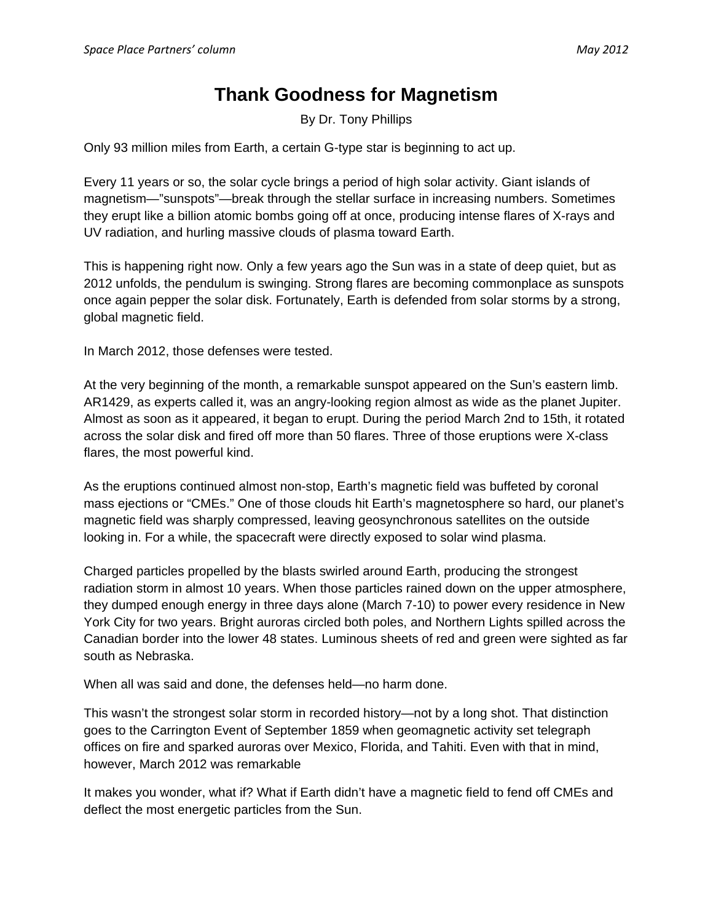## **Thank Goodness for Magnetism**

By Dr. Tony Phillips

Only 93 million miles from Earth, a certain G-type star is beginning to act up.

Every 11 years or so, the solar cycle brings a period of high solar activity. Giant islands of magnetism—"sunspots"—break through the stellar surface in increasing numbers. Sometimes they erupt like a billion atomic bombs going off at once, producing intense flares of X-rays and UV radiation, and hurling massive clouds of plasma toward Earth.

This is happening right now. Only a few years ago the Sun was in a state of deep quiet, but as 2012 unfolds, the pendulum is swinging. Strong flares are becoming commonplace as sunspots once again pepper the solar disk. Fortunately, Earth is defended from solar storms by a strong, global magnetic field.

In March 2012, those defenses were tested.

At the very beginning of the month, a remarkable sunspot appeared on the Sun's eastern limb. AR1429, as experts called it, was an angry-looking region almost as wide as the planet Jupiter. Almost as soon as it appeared, it began to erupt. During the period March 2nd to 15th, it rotated across the solar disk and fired off more than 50 flares. Three of those eruptions were X-class flares, the most powerful kind.

As the eruptions continued almost non-stop, Earth's magnetic field was buffeted by coronal mass ejections or "CMEs." One of those clouds hit Earth's magnetosphere so hard, our planet's magnetic field was sharply compressed, leaving geosynchronous satellites on the outside looking in. For a while, the spacecraft were directly exposed to solar wind plasma.

Charged particles propelled by the blasts swirled around Earth, producing the strongest radiation storm in almost 10 years. When those particles rained down on the upper atmosphere, they dumped enough energy in three days alone (March 7-10) to power every residence in New York City for two years. Bright auroras circled both poles, and Northern Lights spilled across the Canadian border into the lower 48 states. Luminous sheets of red and green were sighted as far south as Nebraska.

When all was said and done, the defenses held—no harm done.

This wasn't the strongest solar storm in recorded history—not by a long shot. That distinction goes to the Carrington Event of September 1859 when geomagnetic activity set telegraph offices on fire and sparked auroras over Mexico, Florida, and Tahiti. Even with that in mind, however, March 2012 was remarkable

It makes you wonder, what if? What if Earth didn't have a magnetic field to fend off CMEs and deflect the most energetic particles from the Sun.